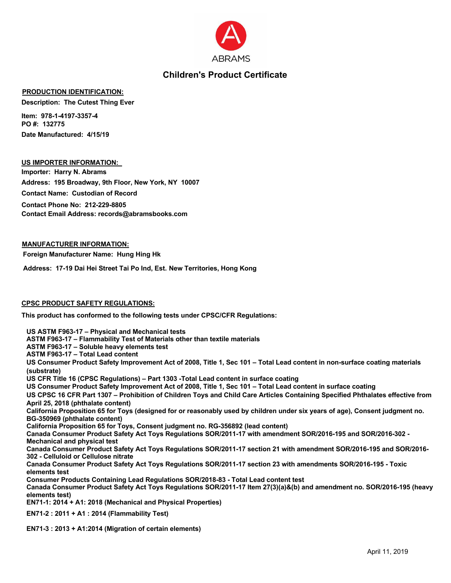

# **Children's Product Certificate**

### **PRODUCTION IDENTIFICATION:**

**Description: The Cutest Thing Ever**

**Item: 978-1-4197-3357-4 PO #: 132775 Date Manufactured: 4/15/19**

#### **US IMPORTER INFORMATION:**

**Importer: Harry N. Abrams Address: 195 Broadway, 9th Floor, New York, NY 10007 Contact Name: Custodian of Record Contact Phone No: 212-229-8805 Contact Email Address: records@abramsbooks.com**

#### **MANUFACTURER INFORMATION:**

**Foreign Manufacturer Name: Hung Hing Hk**

**Address: 17-19 Dai Hei Street Tai Po Ind, Est. New Territories, Hong Kong**

#### **CPSC PRODUCT SAFETY REGULATIONS:**

**This product has conformed to the following tests under CPSC/CFR Regulations:**

**US ASTM F963-17 – Physical and Mechanical tests ASTM F963-17 – Flammability Test of Materials other than textile materials ASTM F963-17 – Soluble heavy elements test ASTM F963-17 – Total Lead content US Consumer Product Safety Improvement Act of 2008, Title 1, Sec 101 – Total Lead content in non-surface coating materials (substrate) US CFR Title 16 (CPSC Regulations) – Part 1303 -Total Lead content in surface coating US Consumer Product Safety Improvement Act of 2008, Title 1, Sec 101 – Total Lead content in surface coating US CPSC 16 CFR Part 1307 – Prohibition of Children Toys and Child Care Articles Containing Specified Phthalates effective from April 25, 2018 (phthalate content) California Proposition 65 for Toys (designed for or reasonably used by children under six years of age), Consent judgment no. BG-350969 (phthalate content) California Proposition 65 for Toys, Consent judgment no. RG-356892 (lead content) Canada Consumer Product Safety Act Toys Regulations SOR/2011-17 with amendment SOR/2016-195 and SOR/2016-302 - Mechanical and physical test Canada Consumer Product Safety Act Toys Regulations SOR/2011-17 section 21 with amendment SOR/2016-195 and SOR/2016- 302 - Celluloid or Cellulose nitrate Canada Consumer Product Safety Act Toys Regulations SOR/2011-17 section 23 with amendments SOR/2016-195 - Toxic elements test Consumer Products Containing Lead Regulations SOR/2018-83 - Total Lead content test Canada Consumer Product Safety Act Toys Regulations SOR/2011-17 Item 27(3)(a)&(b) and amendment no. SOR/2016-195 (heavy elements test) EN71-1: 2014 + A1: 2018 (Mechanical and Physical Properties) EN71-2 : 2011 + A1 : 2014 (Flammability Test)**

**EN71-3 : 2013 + A1:2014 (Migration of certain elements)**